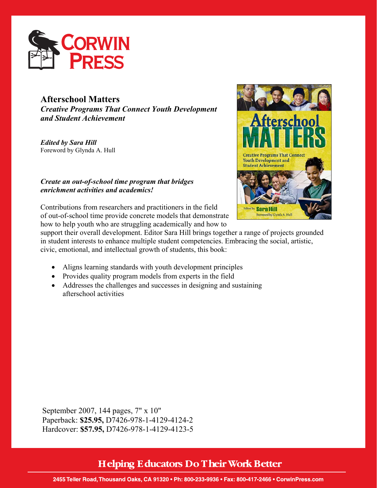

## **Afterschool Matters**

*Creative Programs That Connect Youth Development and Student Achievement* 

*Edited by Sara Hill*  Foreword by Glynda A. Hull

## *Create an out-of-school time program that bridges enrichment activities and academics!*

Contributions from researchers and practitioners in the field of out-of-school time provide concrete models that demonstrate how to help youth who are struggling academically and how to



support their overall development. Editor Sara Hill brings together a range of projects grounded in student interests to enhance multiple student competencies. Embracing the social, artistic, civic, emotional, and intellectual growth of students, this book:

- Aligns learning standards with youth development principles
- Provides quality program models from experts in the field
- Addresses the challenges and successes in designing and sustaining afterschool activities

September 2007, 144 pages, 7" x 10" Paperback: **\$25.95,** D7426-978-1-4129-4124-2 Hardcover: **\$57.95,** D7426-978-1-4129-4123-5

## **Helping Educators Do Their Work Better**